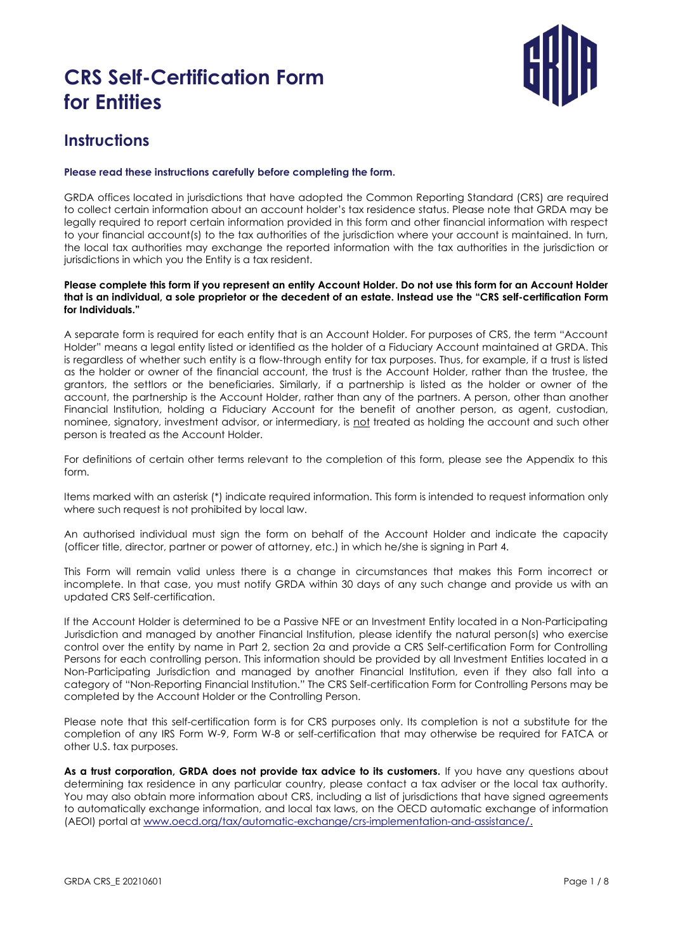

#### **Instructions**

#### **Please read these instructions carefully before completing the form.**

GRDA offices located in jurisdictions that have adopted the Common Reporting Standard (CRS) are required to collect certain information about an account holder's tax residence status. Please note that GRDA may be legally required to report certain information provided in this form and other financial information with respect to your financial account(s) to the tax authorities of the jurisdiction where your account is maintained. In turn, the local tax authorities may exchange the reported information with the tax authorities in the jurisdiction or jurisdictions in which you the Entity is a tax resident.

#### **Please complete this form if you represent an entity Account Holder. Do not use this form for an Account Holder that is an individual, a sole proprietor or the decedent of an estate. Instead use the "CRS self-certification Form for Individuals."**

A separate form is required for each entity that is an Account Holder. For purposes of CRS, the term "Account Holder" means a legal entity listed or identified as the holder of a Fiduciary Account maintained at GRDA. This is regardless of whether such entity is a flow-through entity for tax purposes. Thus, for example, if a trust is listed as the holder or owner of the financial account, the trust is the Account Holder, rather than the trustee, the grantors, the settlors or the beneficiaries. Similarly, if a partnership is listed as the holder or owner of the account, the partnership is the Account Holder, rather than any of the partners. A person, other than another Financial Institution, holding a Fiduciary Account for the benefit of another person, as agent, custodian, nominee, signatory, investment advisor, or intermediary, is not treated as holding the account and such other person is treated as the Account Holder.

For definitions of certain other terms relevant to the completion of this form, please see the Appendix to this form.

Items marked with an asterisk (\*) indicate required information. This form is intended to request information only where such request is not prohibited by local law.

An authorised individual must sign the form on behalf of the Account Holder and indicate the capacity (officer title, director, partner or power of attorney, etc.) in which he/she is signing in Part 4.

This Form will remain valid unless there is a change in circumstances that makes this Form incorrect or incomplete. In that case, you must notify GRDA within 30 days of any such change and provide us with an updated CRS Self-certification.

If the Account Holder is determined to be a Passive NFE or an Investment Entity located in a Non-Participating Jurisdiction and managed by another Financial Institution, please identify the natural person(s) who exercise control over the entity by name in Part 2, section 2a and provide a CRS Self-certification Form for Controlling Persons for each controlling person. This information should be provided by all Investment Entities located in a Non-Participating Jurisdiction and managed by another Financial Institution, even if they also fall into a category of "Non-Reporting Financial Institution." The CRS Self-certification Form for Controlling Persons may be completed by the Account Holder or the Controlling Person.

Please note that this self-certification form is for CRS purposes only. Its completion is not a substitute for the completion of any IRS Form W-9, Form W-8 or self-certification that may otherwise be required for FATCA or other U.S. tax purposes.

As a trust corporation, GRDA does not provide tax advice to its customers. If you have any questions about determining tax residence in any particular country, please contact a tax adviser or the local tax authority. You may also obtain more information about CRS, including a list of jurisdictions that have signed agreements to automatically exchange information, and local tax laws, on the OECD automatic exchange of information (AEOI) portal at [www.oecd.org/tax/automatic-exchange/crs-implementation-and-assistance/](http://www.oecd.org/tax/automatic-exchange/crs-implementation-and-assistance/).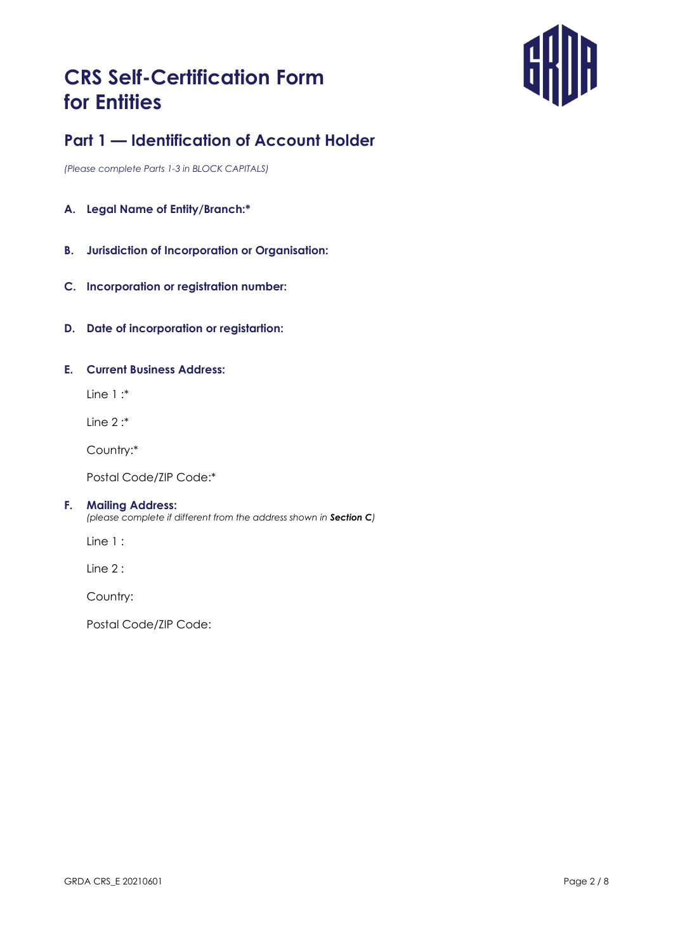

### **Part 1 — Identification of Account Holder**

*(Please complete Parts 1-3 in BLOCK CAPITALS)*

- **A. Legal Name of Entity/Branch:\***
- **B. Jurisdiction of Incorporation or Organisation:**
- **C. Incorporation or registration number:**
- **D. Date of incorporation or registartion:**

#### **E. Current Business Address:**

Line 1 :\*

Line 2 :\*

Country:\*

Postal Code/ZIP Code:\*

#### **F. Mailing Address:**

*(please complete if different from the address shown in Section C)*

Line 1 :

Line 2 :

Country:

Postal Code/ZIP Code: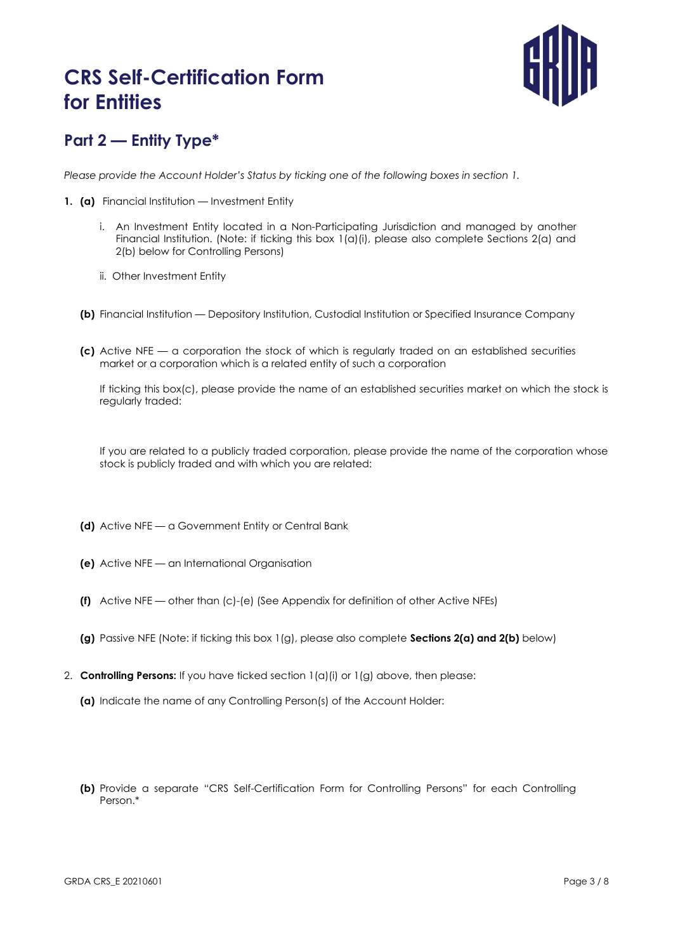

## **Part 2 — Entity Type\***

*Please provide the Account Holder's Status by ticking one of the following boxes in section 1.*

- **1. (a)** Financial Institution Investment Entity
	- i. An Investment Entity located in a Non-Participating Jurisdiction and managed by another Financial Institution. (Note: if ticking this box 1(a)(i), please also complete Sections 2(a) and 2(b) below for Controlling Persons)
	- ii. Other Investment Entity
	- **(b)** Financial Institution Depository Institution, Custodial Institution or Specified Insurance Company
	- **(c)** Active NFE a corporation the stock of which is regularly traded on an established securities market or a corporation which is a related entity of such a corporation

If ticking this box(c), please provide the name of an established securities market on which the stock is regularly traded:

If you are related to a publicly traded corporation, please provide the name of the corporation whose stock is publicly traded and with which you are related:

2. **Controlling Persons:** If you have ticked section 1(a)(i) or 1(g) above, then please:

**(a)** Indicate the name of any Controlling Person(s) of the Account Holder:

**(b)** Provide a separate "CRS Self-Certification Form for Controlling Persons" for each Controlling Person.\*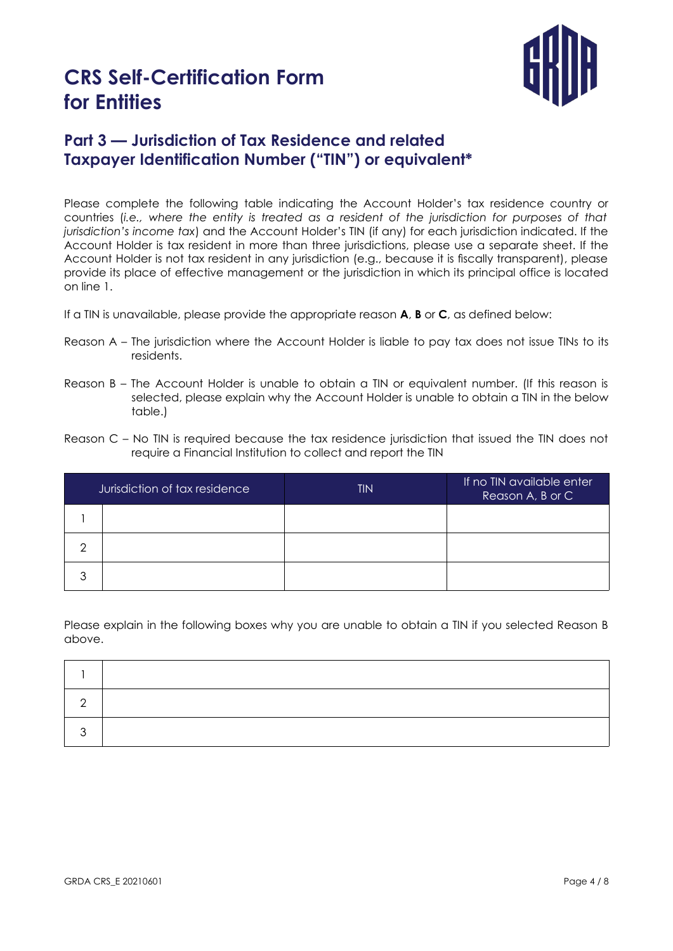

## **Part 3 — Jurisdiction of Tax Residence and related Taxpayer Identification Number ("TIN") or equivalent\***

Please complete the following table indicating the Account Holder's tax residence country or countries (*i.e., where the entity is treated as a resident of the jurisdiction for purposes of that jurisdiction's income tax*) and the Account Holder's TIN (if any) for each jurisdiction indicated. If the Account Holder is tax resident in more than three jurisdictions, please use a separate sheet. If the Account Holder is not tax resident in any jurisdiction (e.g., because it is fiscally transparent), please provide its place of effective management or the jurisdiction in which its principal office is located on line 1.

If a TIN is unavailable, please provide the appropriate reason **A**, **B** or **C**, as defined below:

- Reason A The jurisdiction where the Account Holder is liable to pay tax does not issue TINs to its residents.
- Reason B The Account Holder is unable to obtain a TIN or equivalent number. (If this reason is selected, please explain why the Account Holder is unable to obtain a TIN in the below table.)
- Reason C No TIN is required because the tax residence jurisdiction that issued the TIN does not require a Financial Institution to collect and report the TIN

| Jurisdiction of tax residence |  | <b>TIN</b> | If no TIN available enter<br>Reason A, B or C |
|-------------------------------|--|------------|-----------------------------------------------|
|                               |  |            |                                               |
| ⌒                             |  |            |                                               |
| っ                             |  |            |                                               |

Please explain in the following boxes why you are unable to obtain a TIN if you selected Reason B above.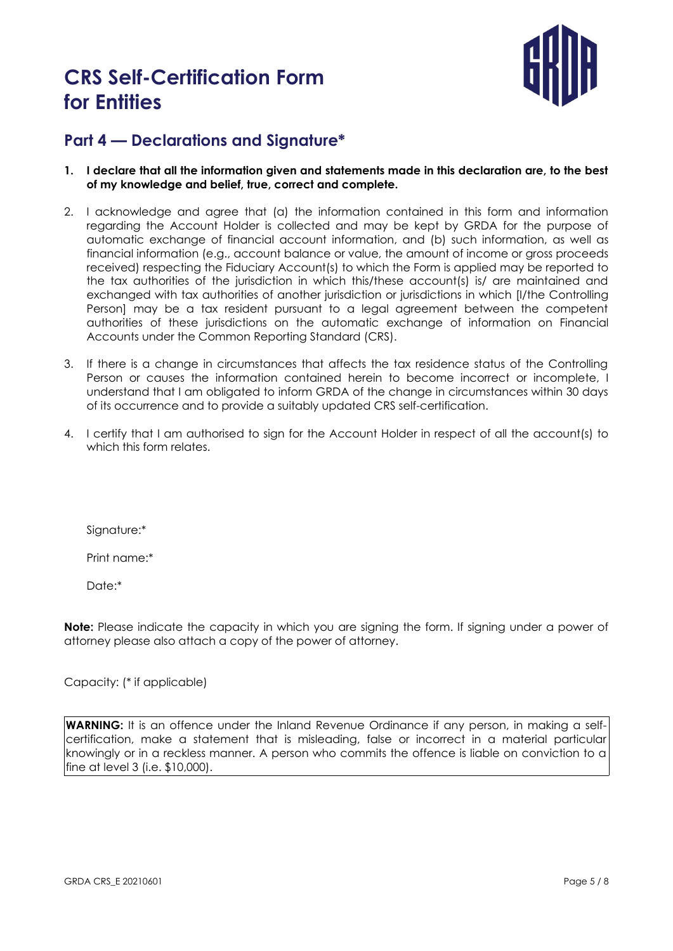

#### **Part 4 — Declarations and Signature\***

- **1. I declare that all the information given and statements made in this declaration are, to the best of my knowledge and belief, true, correct and complete.**
- 2. I acknowledge and agree that (a) the information contained in this form and information regarding the Account Holder is collected and may be kept by GRDA for the purpose of automatic exchange of financial account information, and (b) such information, as well as financial information (e.g., account balance or value, the amount of income or gross proceeds received) respecting the Fiduciary Account(s) to which the Form is applied may be reported to the tax authorities of the jurisdiction in which this/these account(s) is/ are maintained and exchanged with tax authorities of another jurisdiction or jurisdictions in which [I/the Controlling Person] may be a tax resident pursuant to a legal agreement between the competent authorities of these jurisdictions on the automatic exchange of information on Financial Accounts under the Common Reporting Standard (CRS).
- 3. If there is a change in circumstances that affects the tax residence status of the Controlling Person or causes the information contained herein to become incorrect or incomplete, I understand that I am obligated to inform GRDA of the change in circumstances within 30 days of its occurrence and to provide a suitably updated CRS self-certification.
- 4. I certify that I am authorised to sign for the Account Holder in respect of all the account(s) to which this form relates.

Signature:\*

Print name:\*

Date:\*

**Note:** Please indicate the capacity in which you are signing the form. If signing under a power of attorney please also attach a copy of the power of attorney.

Capacity: (\* if applicable)

**WARNING:** It is an offence under the Inland Revenue Ordinance if any person, in making a selfcertification, make a statement that is misleading, false or incorrect in a material particular knowingly or in a reckless manner. A person who commits the offence is liable on conviction to a fine at level 3 (i.e. \$10,000).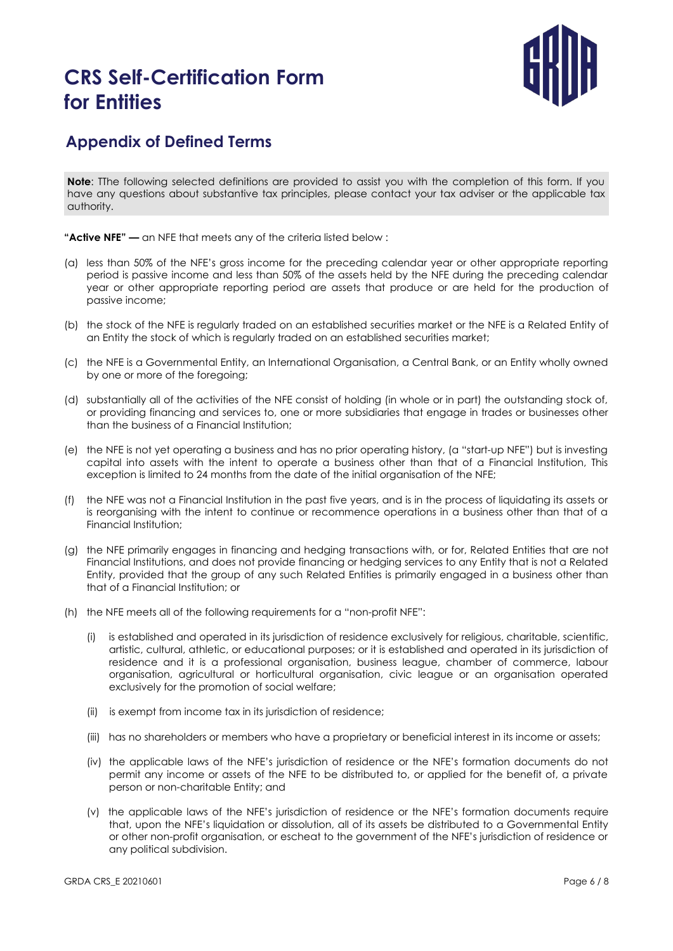

#### **Appendix of Defined Terms**

**Note**: The following selected definitions are provided to assist you with the completion of this form. If you have any questions about substantive tax principles, please contact your tax adviser or the applicable tax authority.

**"Active NFE" —** an NFE that meets any of the criteria listed below :

- (a) less than 50% of the NFE's gross income for the preceding calendar year or other appropriate reporting period is passive income and less than 50% of the assets held by the NFE during the preceding calendar year or other appropriate reporting period are assets that produce or are held for the production of passive income;
- (b) the stock of the NFE is regularly traded on an established securities market or the NFE is a Related Entity of an Entity the stock of which is regularly traded on an established securities market;
- (c) the NFE is a Governmental Entity, an International Organisation, a Central Bank, or an Entity wholly owned by one or more of the foregoing;
- (d) substantially all of the activities of the NFE consist of holding (in whole or in part) the outstanding stock of, or providing financing and services to, one or more subsidiaries that engage in trades or businesses other than the business of a Financial Institution;
- (e) the NFE is not yet operating a business and has no prior operating history, (a "start-up NFE") but is investing capital into assets with the intent to operate a business other than that of a Financial Institution, This exception is limited to 24 months from the date of the initial organisation of the NFE;
- (f) the NFE was not a Financial Institution in the past five years, and is in the process of liquidating its assets or is reorganising with the intent to continue or recommence operations in a business other than that of a Financial Institution;
- (g) the NFE primarily engages in financing and hedging transactions with, or for, Related Entities that are not Financial Institutions, and does not provide financing or hedging services to any Entity that is not a Related Entity, provided that the group of any such Related Entities is primarily engaged in a business other than that of a Financial Institution; or
- (h) the NFE meets all of the following requirements for a "non-profit NFE":
	- (i) is established and operated in its jurisdiction of residence exclusively for religious, charitable, scientific, artistic, cultural, athletic, or educational purposes; or it is established and operated in its jurisdiction of residence and it is a professional organisation, business league, chamber of commerce, labour organisation, agricultural or horticultural organisation, civic league or an organisation operated exclusively for the promotion of social welfare;
	- (ii) is exempt from income tax in its jurisdiction of residence;
	- (iii) has no shareholders or members who have a proprietary or beneficial interest in its income or assets;
	- (iv) the applicable laws of the NFE's jurisdiction of residence or the NFE's formation documents do not permit any income or assets of the NFE to be distributed to, or applied for the benefit of, a private person or non-charitable Entity; and
	- (v) the applicable laws of the NFE's jurisdiction of residence or the NFE's formation documents require that, upon the NFE's liquidation or dissolution, all of its assets be distributed to a Governmental Entity or other non-profit organisation, or escheat to the government of the NFE's jurisdiction of residence or any political subdivision.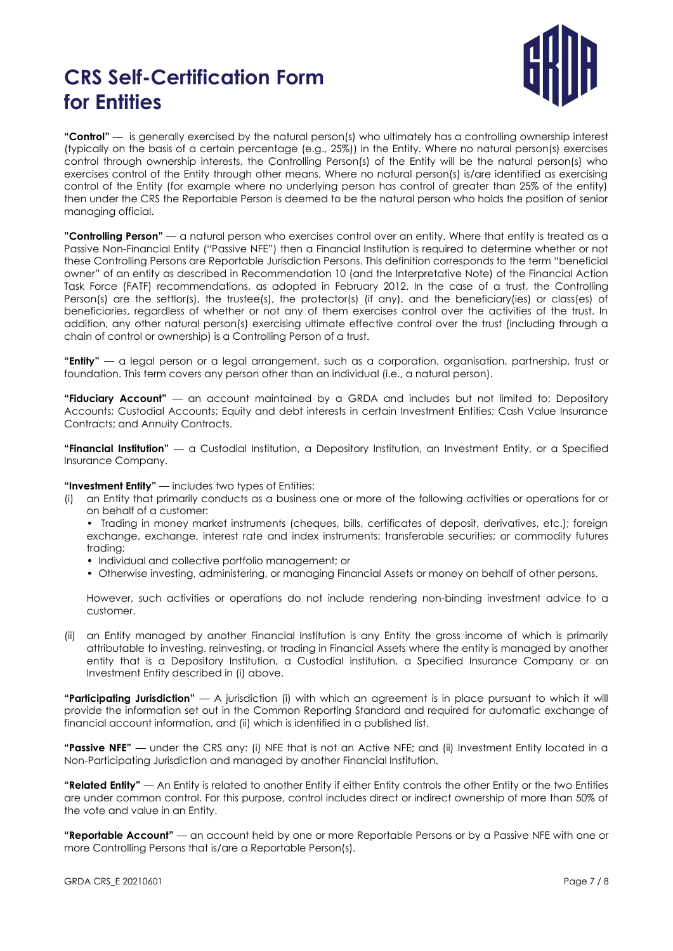

**"Control"** — is generally exercised by the natural person(s) who ultimately has a controlling ownership interest (typically on the basis of a certain percentage (e.g., 25%)) in the Entity. Where no natural person(s) exercises control through ownership interests, the Controlling Person(s) of the Entity will be the natural person(s) who exercises control of the Entity through other means. Where no natural person(s) is/are identified as exercising control of the Entity (for example where no underlying person has control of greater than 25% of the entity) then under the CRS the Reportable Person is deemed to be the natural person who holds the position of senior managing official.

**"Controlling Person"** — a natural person who exercises control over an entity. Where that entity is treated as a Passive Non-Financial Entity ("Passive NFE") then a Financial Institution is required to determine whether or not these Controlling Persons are Reportable Jurisdiction Persons. This definition corresponds to the term "beneficial owner" of an entity as described in Recommendation 10 (and the Interpretative Note) of the Financial Action Task Force (FATF) recommendations, as adopted in February 2012. In the case of a trust, the Controlling Person(s) are the settlor(s), the trustee(s), the protector(s) (if any), and the beneficiary(ies) or class(es) of beneficiaries, regardless of whether or not any of them exercises control over the activities of the trust. In addition, any other natural person(s) exercising ultimate effective control over the trust (including through a chain of control or ownership) is a Controlling Person of a trust.

**"Entity"** — a legal person or a legal arrangement, such as a corporation, organisation, partnership, trust or foundation. This term covers any person other than an individual (i.e., a natural person).

**"Fiduciary Account"** — an account maintained by a GRDA and includes but not limited to: Depository Accounts; Custodial Accounts; Equity and debt interests in certain Investment Entities; Cash Value Insurance Contracts; and Annuity Contracts.

**"Financial Institution"** — a Custodial Institution, a Depository Institution, an Investment Entity, or a Specified Insurance Company.

#### **"Investment Entity"** — includes two types of Entities:

(i) an Entity that primarily conducts as a business one or more of the following activities or operations for or on behalf of a customer:

• Trading in money market instruments (cheques, bills, certificates of deposit, derivatives, etc.); foreign exchange, exchange, interest rate and index instruments; transferable securities; or commodity futures trading;

- Individual and collective portfolio management; or
- Otherwise investing, administering, or managing Financial Assets or money on behalf of other persons.

However, such activities or operations do not include rendering non-binding investment advice to a customer.

(ii) an Entity managed by another Financial Institution is any Entity the gross income of which is primarily attributable to investing, reinvesting, or trading in Financial Assets where the entity is managed by another entity that is a Depository Institution, a Custodial institution, a Specified Insurance Company or an Investment Entity described in (i) above.

**"Participating Jurisdiction"** — A jurisdiction (i) with which an agreement is in place pursuant to which it will provide the information set out in the Common Reporting Standard and required for automatic exchange of financial account information, and (ii) which is identified in a published list.

**"Passive NFE"** — under the CRS any: (i) NFE that is not an Active NFE; and (ii) Investment Entity located in a Non-Participating Jurisdiction and managed by another Financial Institution.

**"Related Entity"** — An Entity is related to another Entity if either Entity controls the other Entity or the two Entities are under common control. For this purpose, control includes direct or indirect ownership of more than 50% of the vote and value in an Entity.

**"Reportable Account"** — an account held by one or more Reportable Persons or by a Passive NFE with one or more Controlling Persons that is/are a Reportable Person(s).